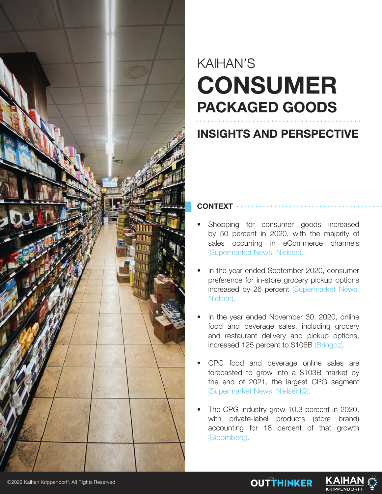

# KAIHAN'S CONSUMER PACKAGED GOODS

## INSIGHTS AND PERSPECTIVE

**CONTEXT** 

- Shopping for consumer goods increased by 50 percent in 2020, with the majority of sales occurring in eCommerce channels (Supermarket News, Nielsen).
- In the year ended September 2020, consumer preference for in-store grocery pickup options increased by 26 percent (Supermarket News, Nielsen).
- In the year ended November 30, 2020, online food and beverage sales, including grocery and restaurant delivery and pickup options, increased 125 percent to \$106B (Bringoz).
- CPG food and beverage online sales are forecasted to grow into a \$103B market by the end of 2021, the largest CPG segment (Supermarket News, NielsenIQ).
- The CPG industry grew 10.3 percent in 2020, with private-label products (store brand) accounting for 18 percent of that growth (Bloomberg).

**OUTTHINKER** 

KAIHA

**KRIPPENDORF**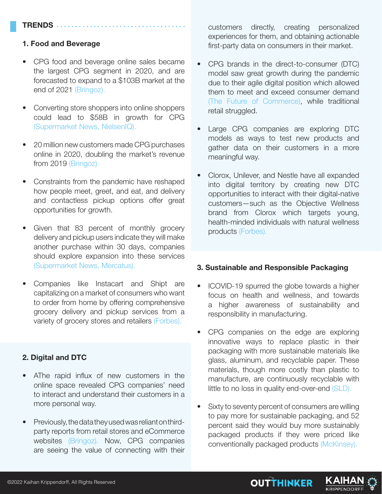### TRENDS ....

#### 1. Food and Beverage

- CPG food and beverage online sales became the largest CPG segment in 2020, and are forecasted to expand to a \$103B market at the end of 2021 (Bringoz).
- Converting store shoppers into online shoppers could lead to \$58B in growth for CPG (Supermarket News, NielsenIQ).
- 20 million new customers made CPG purchases online in 2020, doubling the market's revenue from 2019 (Bringoz).
- Constraints from the pandemic have reshaped how people meet, greet, and eat, and delivery and contactless pickup options offer great opportunities for growth.
- Given that 83 percent of monthly grocery delivery and pickup users indicate they will make another purchase within 30 days, companies should explore expansion into these services (Supermarket News, Mercatus).
- Companies like Instacart and Shipt are capitalizing on a market of consumers who want to order from home by offering comprehensive grocery delivery and pickup services from a variety of grocery stores and retailers (Forbes).

#### 2. Digital and DTC

- AThe rapid influx of new customers in the online space revealed CPG companies' need to interact and understand their customers in a more personal way.
- Previously, the data they used was reliant on thirdparty reports from retail stores and eCommerce websites (Bringoz). Now, CPG companies are seeing the value of connecting with their

customers directly, creating personalized experiences for them, and obtaining actionable first-party data on consumers in their market.

- CPG brands in the direct-to-consumer (DTC) model saw great growth during the pandemic due to their agile digital position which allowed them to meet and exceed consumer demand (The Future of Commerce), while traditional retail struggled.
- Large CPG companies are exploring DTC models as ways to test new products and gather data on their customers in a more meaningful way.
- Clorox, Unilever, and Nestle have all expanded into digital territory by creating new DTC opportunities to interact with their digital-native customers—such as the Objective Wellness brand from Clorox which targets young, health-minded individuals with natural wellness products (Forbes).

#### 3. Sustainable and Responsible Packaging

- ICOVID-19 spurred the globe towards a higher focus on health and wellness, and towards a higher awareness of sustainability and responsibility in manufacturing.
- CPG companies on the edge are exploring innovative ways to replace plastic in their packaging with more sustainable materials like glass, aluminum, and recyclable paper. These materials, though more costly than plastic to manufacture, are continuously recyclable with little to no loss in quality end-over-end (SLD).
- Sixty to seventy percent of consumers are willing to pay more for sustainable packaging, and 52 percent said they would buy more sustainably packaged products if they were priced like conventionally packaged products (McKinsey).



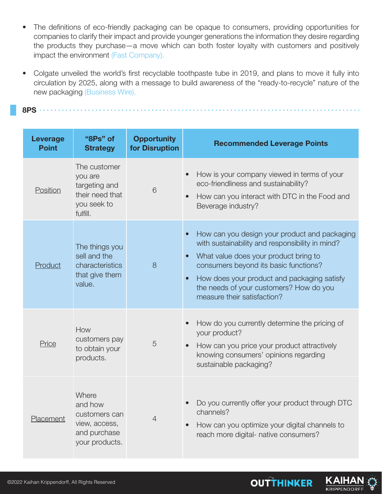- The definitions of eco-friendly packaging can be opaque to consumers, providing opportunities for companies to clarify their impact and provide younger generations the information they desire regarding the products they purchase—a move which can both foster loyalty with customers and positively impact the environment (Fast Company).
- Colgate unveiled the world's first recyclable toothpaste tube in 2019, and plans to move it fully into circulation by 2025, along with a message to build awareness of the "ready-to-recycle" nature of the new packaging (Business Wire).

8PS

| <b>Leverage</b><br><b>Point</b> | "8Ps" of<br><b>Strategy</b>                                                            | <b>Opportunity</b><br>for Disruption | <b>Recommended Leverage Points</b>                                                                                                                                                                                                                                                                                       |
|---------------------------------|----------------------------------------------------------------------------------------|--------------------------------------|--------------------------------------------------------------------------------------------------------------------------------------------------------------------------------------------------------------------------------------------------------------------------------------------------------------------------|
| Position                        | The customer<br>you are<br>targeting and<br>their need that<br>you seek to<br>fulfill. | 6                                    | How is your company viewed in terms of your<br>eco-friendliness and sustainability?<br>How can you interact with DTC in the Food and<br>Beverage industry?                                                                                                                                                               |
| Product                         | The things you<br>sell and the<br>characteristics<br>that give them<br>value.          | 8                                    | How can you design your product and packaging<br>with sustainability and responsibility in mind?<br>What value does your product bring to<br>consumers beyond its basic functions?<br>How does your product and packaging satisfy<br>$\bullet$<br>the needs of your customers? How do you<br>measure their satisfaction? |
| Price                           | How<br>customers pay<br>to obtain your<br>products.                                    | 5                                    | How do you currently determine the pricing of<br>your product?<br>How can you price your product attractively<br>knowing consumers' opinions regarding<br>sustainable packaging?                                                                                                                                         |
| Placement                       | Where<br>and how<br>customers can<br>view, access,<br>and purchase<br>your products.   | $\overline{4}$                       | Do you currently offer your product through DTC<br>channels?<br>How can you optimize your digital channels to<br>reach more digital- native consumers?                                                                                                                                                                   |

KAIHA

**KRIPPENDORFF** 

**OUTTHINKER**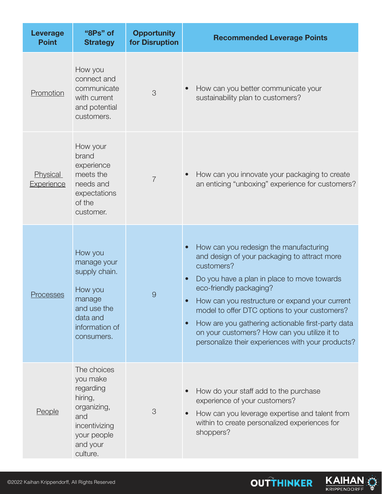| Leverage<br><b>Point</b> | "8Ps" of<br><b>Strategy</b>                                                                                                   | <b>Opportunity</b><br>for Disruption | <b>Recommended Leverage Points</b>                                                                                                                                                                                                                                                                                                                                                                                                          |
|--------------------------|-------------------------------------------------------------------------------------------------------------------------------|--------------------------------------|---------------------------------------------------------------------------------------------------------------------------------------------------------------------------------------------------------------------------------------------------------------------------------------------------------------------------------------------------------------------------------------------------------------------------------------------|
| Promotion                | How you<br>connect and<br>communicate<br>with current<br>and potential<br>customers.                                          | 3                                    | How can you better communicate your<br>sustainability plan to customers?                                                                                                                                                                                                                                                                                                                                                                    |
| Physical<br>Experience   | How your<br>brand<br>experience<br>meets the<br>needs and<br>expectations<br>of the<br>customer.                              | $\overline{7}$                       | How can you innovate your packaging to create<br>an enticing "unboxing" experience for customers?                                                                                                                                                                                                                                                                                                                                           |
| <b>Processes</b>         | How you<br>manage your<br>supply chain.<br>How you<br>manage<br>and use the<br>data and<br>information of<br>consumers.       | $\Theta$                             | How can you redesign the manufacturing<br>and design of your packaging to attract more<br>customers?<br>Do you have a plan in place to move towards<br>eco-friendly packaging?<br>How can you restructure or expand your current<br>model to offer DTC options to your customers?<br>How are you gathering actionable first-party data<br>on your customers? How can you utilize it to<br>personalize their experiences with your products? |
| <u>People</u>            | The choices<br>you make<br>regarding<br>hiring,<br>organizing,<br>and<br>incentivizing<br>your people<br>and your<br>culture. | 3                                    | How do your staff add to the purchase<br>experience of your customers?<br>How can you leverage expertise and talent from<br>within to create personalized experiences for<br>shoppers?                                                                                                                                                                                                                                                      |

**OUTTHINKER**